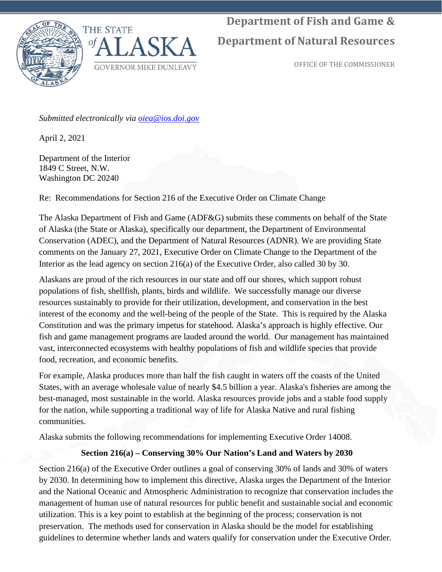

**Department of Fish and Game &** 

# **Department of Natural Resources**

OFFICE OF THE COMMISSIONER

*Submitted electronically via [oiea@ios.doi.gov](mailto:oiea@ios.doi.gov)*

April 2, 2021

Department of the Interior 1849 C Street, N.W. Washington DC 20240

Re: Recommendations for Section 216 of the Executive Order on Climate Change

The Alaska Department of Fish and Game (ADF&G) submits these comments on behalf of the State of Alaska (the State or Alaska), specifically our department, the Department of Environmental Conservation (ADEC), and the Department of Natural Resources (ADNR). We are providing State comments on the January 27, 2021, Executive Order on Climate Change to the Department of the Interior as the lead agency on section 216(a) of the Executive Order, also called 30 by 30.

Alaskans are proud of the rich resources in our state and off our shores, which support robust populations of fish, shellfish, plants, birds and wildlife. We successfully manage our diverse resources sustainably to provide for their utilization, development, and conservation in the best interest of the economy and the well-being of the people of the State. This is required by the Alaska Constitution and was the primary impetus for statehood. Alaska's approach is highly effective. Our fish and game management programs are lauded around the world. Our management has maintained vast, interconnected ecosystems with healthy populations of fish and wildlife species that provide food, recreation, and economic benefits.

For example, Alaska produces more than half the fish caught in waters off the coasts of the United States, with an average wholesale value of nearly \$4.5 billion a year. Alaska's fisheries are among the best-managed, most sustainable in the world. Alaska resources provide jobs and a stable food supply for the nation, while supporting a traditional way of life for Alaska Native and rural fishing communities.

Alaska submits the following recommendations for implementing Executive Order 14008.

## **Section 216(a) – Conserving 30% Our Nation's Land and Waters by 2030**

Section 216(a) of the Executive Order outlines a goal of conserving 30% of lands and 30% of waters by 2030. In determining how to implement this directive, Alaska urges the Department of the Interior and the National Oceanic and Atmospheric Administration to recognize that conservation includes the management of human use of natural resources for public benefit and sustainable social and economic utilization. This is a key point to establish at the beginning of the process; conservation is not preservation. The methods used for conservation in Alaska should be the model for establishing guidelines to determine whether lands and waters qualify for conservation under the Executive Order.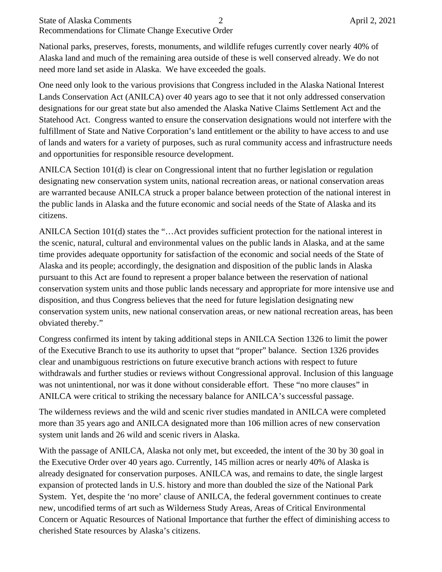#### State of Alaska Comments 2 April 2, 2021 Recommendations for Climate Change Executive Order

National parks, preserves, forests, monuments, and wildlife refuges currently cover nearly 40% of Alaska land and much of the remaining area outside of these is well conserved already. We do not need more land set aside in Alaska. We have exceeded the goals.

One need only look to the various provisions that Congress included in the Alaska National Interest Lands Conservation Act (ANILCA) over 40 years ago to see that it not only addressed conservation designations for our great state but also amended the Alaska Native Claims Settlement Act and the Statehood Act. Congress wanted to ensure the conservation designations would not interfere with the fulfillment of State and Native Corporation's land entitlement or the ability to have access to and use of lands and waters for a variety of purposes, such as rural community access and infrastructure needs and opportunities for responsible resource development.

ANILCA Section 101(d) is clear on Congressional intent that no further legislation or regulation designating new conservation system units, national recreation areas, or national conservation areas are warranted because ANILCA struck a proper balance between protection of the national interest in the public lands in Alaska and the future economic and social needs of the State of Alaska and its citizens.

ANILCA Section 101(d) states the "…Act provides sufficient protection for the national interest in the scenic, natural, cultural and environmental values on the public lands in Alaska, and at the same time provides adequate opportunity for satisfaction of the economic and social needs of the State of Alaska and its people; accordingly, the designation and disposition of the public lands in Alaska pursuant to this Act are found to represent a proper balance between the reservation of national conservation system units and those public lands necessary and appropriate for more intensive use and disposition, and thus Congress believes that the need for future legislation designating new conservation system units, new national conservation areas, or new national recreation areas, has been obviated thereby."

Congress confirmed its intent by taking additional steps in ANILCA Section 1326 to limit the power of the Executive Branch to use its authority to upset that "proper" balance. Section 1326 provides clear and unambiguous restrictions on future executive branch actions with respect to future withdrawals and further studies or reviews without Congressional approval. Inclusion of this language was not unintentional, nor was it done without considerable effort. These "no more clauses" in ANILCA were critical to striking the necessary balance for ANILCA's successful passage.

The wilderness reviews and the wild and scenic river studies mandated in ANILCA were completed more than 35 years ago and ANILCA designated more than 106 million acres of new conservation system unit lands and 26 wild and scenic rivers in Alaska.

With the passage of ANILCA, Alaska not only met, but exceeded, the intent of the 30 by 30 goal in the Executive Order over 40 years ago. Currently, 145 million acres or nearly 40% of Alaska is already designated for conservation purposes. ANILCA was, and remains to date, the single largest expansion of protected lands in U.S. history and more than doubled the size of the National Park System. Yet, despite the 'no more' clause of ANILCA, the federal government continues to create new, uncodified terms of art such as Wilderness Study Areas, Areas of Critical Environmental Concern or Aquatic Resources of National Importance that further the effect of diminishing access to cherished State resources by Alaska's citizens.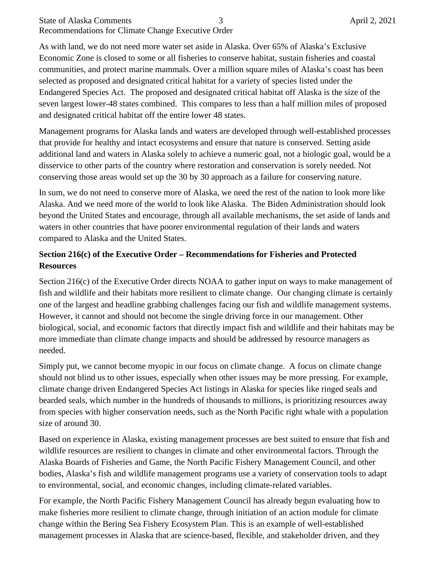#### State of Alaska Comments 3 April 2, 2021 Recommendations for Climate Change Executive Order

As with land, we do not need more water set aside in Alaska. Over 65% of Alaska's Exclusive Economic Zone is closed to some or all fisheries to conserve habitat, sustain fisheries and coastal communities, and protect marine mammals. Over a million square miles of Alaska's coast has been selected as proposed and designated critical habitat for a variety of species listed under the Endangered Species Act. The proposed and designated critical habitat off Alaska is the size of the seven largest lower-48 states combined. This compares to less than a half million miles of proposed and designated critical habitat off the entire lower 48 states.

Management programs for Alaska lands and waters are developed through well-established processes that provide for healthy and intact ecosystems and ensure that nature is conserved. Setting aside additional land and waters in Alaska solely to achieve a numeric goal, not a biologic goal, would be a disservice to other parts of the country where restoration and conservation is sorely needed. Not conserving those areas would set up the 30 by 30 approach as a failure for conserving nature.

In sum, we do not need to conserve more of Alaska, we need the rest of the nation to look more like Alaska. And we need more of the world to look like Alaska. The Biden Administration should look beyond the United States and encourage, through all available mechanisms, the set aside of lands and waters in other countries that have poorer environmental regulation of their lands and waters compared to Alaska and the United States.

### **Section 216(c) of the Executive Order – Recommendations for Fisheries and Protected Resources**

Section 216(c) of the Executive Order directs NOAA to gather input on ways to make management of fish and wildlife and their habitats more resilient to climate change. Our changing climate is certainly one of the largest and headline grabbing challenges facing our fish and wildlife management systems. However, it cannot and should not become the single driving force in our management. Other biological, social, and economic factors that directly impact fish and wildlife and their habitats may be more immediate than climate change impacts and should be addressed by resource managers as needed.

Simply put, we cannot become myopic in our focus on climate change. A focus on climate change should not blind us to other issues, especially when other issues may be more pressing. For example, climate change driven Endangered Species Act listings in Alaska for species like ringed seals and bearded seals, which number in the hundreds of thousands to millions, is prioritizing resources away from species with higher conservation needs, such as the North Pacific right whale with a population size of around 30.

Based on experience in Alaska, existing management processes are best suited to ensure that fish and wildlife resources are resilient to changes in climate and other environmental factors. Through the Alaska Boards of Fisheries and Game, the North Pacific Fishery Management Council, and other bodies, Alaska's fish and wildlife management programs use a variety of conservation tools to adapt to environmental, social, and economic changes, including climate-related variables.

For example, the North Pacific Fishery Management Council has already begun evaluating how to make fisheries more resilient to climate change, through initiation of an action module for climate change within the Bering Sea Fishery Ecosystem Plan. This is an example of well-established management processes in Alaska that are science-based, flexible, and stakeholder driven, and they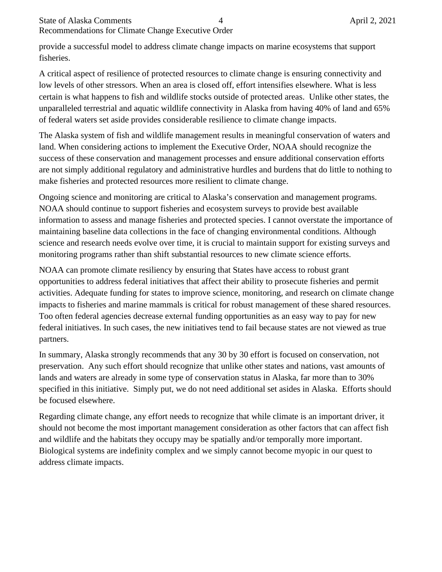provide a successful model to address climate change impacts on marine ecosystems that support fisheries.

A critical aspect of resilience of protected resources to climate change is ensuring connectivity and low levels of other stressors. When an area is closed off, effort intensifies elsewhere. What is less certain is what happens to fish and wildlife stocks outside of protected areas. Unlike other states, the unparalleled terrestrial and aquatic wildlife connectivity in Alaska from having 40% of land and 65% of federal waters set aside provides considerable resilience to climate change impacts.

The Alaska system of fish and wildlife management results in meaningful conservation of waters and land. When considering actions to implement the Executive Order, NOAA should recognize the success of these conservation and management processes and ensure additional conservation efforts are not simply additional regulatory and administrative hurdles and burdens that do little to nothing to make fisheries and protected resources more resilient to climate change.

Ongoing science and monitoring are critical to Alaska's conservation and management programs. NOAA should continue to support fisheries and ecosystem surveys to provide best available information to assess and manage fisheries and protected species. I cannot overstate the importance of maintaining baseline data collections in the face of changing environmental conditions. Although science and research needs evolve over time, it is crucial to maintain support for existing surveys and monitoring programs rather than shift substantial resources to new climate science efforts.

NOAA can promote climate resiliency by ensuring that States have access to robust grant opportunities to address federal initiatives that affect their ability to prosecute fisheries and permit activities. Adequate funding for states to improve science, monitoring, and research on climate change impacts to fisheries and marine mammals is critical for robust management of these shared resources. Too often federal agencies decrease external funding opportunities as an easy way to pay for new federal initiatives. In such cases, the new initiatives tend to fail because states are not viewed as true partners.

In summary, Alaska strongly recommends that any 30 by 30 effort is focused on conservation, not preservation. Any such effort should recognize that unlike other states and nations, vast amounts of lands and waters are already in some type of conservation status in Alaska, far more than to 30% specified in this initiative. Simply put, we do not need additional set asides in Alaska. Efforts should be focused elsewhere.

Regarding climate change, any effort needs to recognize that while climate is an important driver, it should not become the most important management consideration as other factors that can affect fish and wildlife and the habitats they occupy may be spatially and/or temporally more important. Biological systems are indefinity complex and we simply cannot become myopic in our quest to address climate impacts.